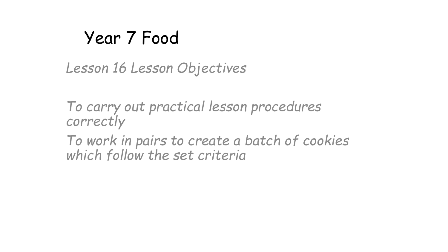### Year 7 Food

*Lesson 16 Lesson Objectives*

*To carry out practical lesson procedures correctly*

*To work in pairs to create a batch of cookies which follow the set criteria*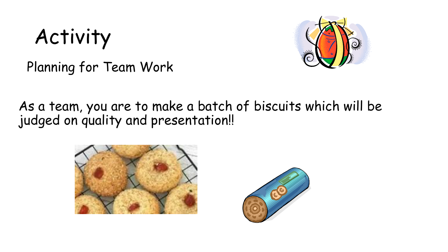# Activity



Planning for Team Work

As a team, you are to make a batch of biscuits which will be judged on quality and presentation!!



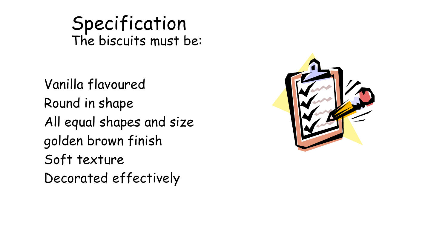Specification The biscuits must be:

Vanilla flavoured Round in shape All equal shapes and size golden brown finish Soft texture Decorated effectively

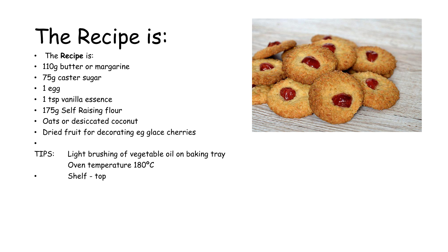# The Recipe is:

- The **Recipe** is:
- 110g butter or margarine
- 75g caster sugar
- 1 egg
- 1 tsp vanilla essence
- 175g Self Raising flour
- Oats or desiccated coconut
- Dried fruit for decorating eg glace cherries
- •
- TIPS: Light brushing of vegetable oil on baking tray Oven temperature 180ºC
- Shelf top

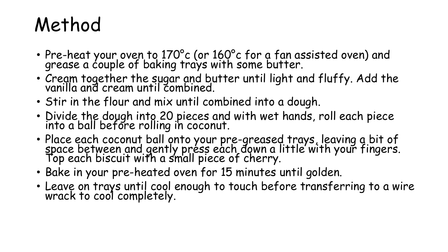## Method

- Pre-heat your oven to  $170^{\circ}$ c (or  $160^{\circ}$ c for a fan assisted oven) and grease a couple of baking trays with some butter.
- Cream together the sugar and butter until light and fluffy. Add the vanilla and cream until combined.
- Stir in the flour and mix until combined into a dough.
- Divide the dough into 20 pieces and with wet hands, roll each piece into a ball before rolling in coconut.
- Place each coconut ball onto your pre-greased trays, leaving a bit of space between and gently préss each đown a little with your fingers. Top each biscuit with a small piece of cherry.
- Bake in your pre-heated oven for 15 minutes until golden.
- Leave on trays until cool enough to touch before transferring to a wire wrack to cool completely.